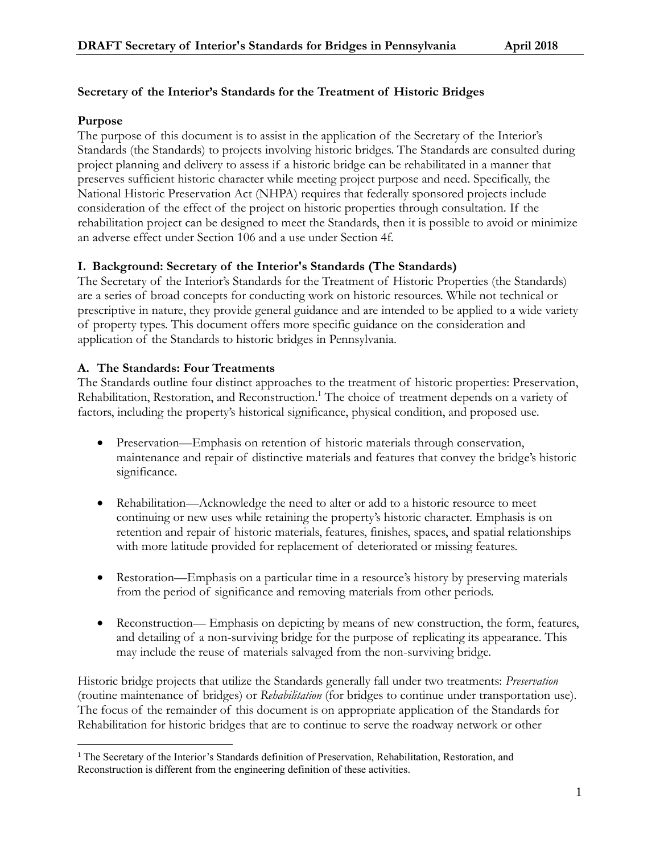# **Secretary of the Interior's Standards for the Treatment of Historic Bridges**

## **Purpose**

 $\overline{a}$ 

The purpose of this document is to assist in the application of the Secretary of the Interior's Standards (the Standards) to projects involving historic bridges. The Standards are consulted during project planning and delivery to assess if a historic bridge can be rehabilitated in a manner that preserves sufficient historic character while meeting project purpose and need. Specifically, the National Historic Preservation Act (NHPA) requires that federally sponsored projects include consideration of the effect of the project on historic properties through consultation. If the rehabilitation project can be designed to meet the Standards, then it is possible to avoid or minimize an adverse effect under Section 106 and a use under Section 4f.

## **I. Background: Secretary of the Interior's Standards (The Standards)**

The Secretary of the Interior's Standards for the Treatment of Historic Properties (the Standards) are a series of broad concepts for conducting work on historic resources. While not technical or prescriptive in nature, they provide general guidance and are intended to be applied to a wide variety of property types. This document offers more specific guidance on the consideration and application of the Standards to historic bridges in Pennsylvania.

## **A. The Standards: Four Treatments**

The Standards outline four distinct approaches to the treatment of historic properties: Preservation, Rehabilitation, Restoration, and Reconstruction.<sup>1</sup> The choice of treatment depends on a variety of factors, including the property's historical significance, physical condition, and proposed use.

- Preservation—Emphasis on retention of historic materials through conservation, maintenance and repair of distinctive materials and features that convey the bridge's historic significance.
- Rehabilitation—Acknowledge the need to alter or add to a historic resource to meet continuing or new uses while retaining the property's historic character. Emphasis is on retention and repair of historic materials, features, finishes, spaces, and spatial relationships with more latitude provided for replacement of deteriorated or missing features.
- Restoration—Emphasis on a particular time in a resource's history by preserving materials from the period of significance and removing materials from other periods.
- Reconstruction— Emphasis on depicting by means of new construction, the form, features, and detailing of a non-surviving bridge for the purpose of replicating its appearance. This may include the reuse of materials salvaged from the non-surviving bridge.

Historic bridge projects that utilize the Standards generally fall under two treatments: *Preservation* (routine maintenance of bridges) or *Rehabilitation* (for bridges to continue under transportation use). The focus of the remainder of this document is on appropriate application of the Standards for Rehabilitation for historic bridges that are to continue to serve the roadway network or other

<sup>&</sup>lt;sup>1</sup> The Secretary of the Interior's Standards definition of Preservation, Rehabilitation, Restoration, and Reconstruction is different from the engineering definition of these activities.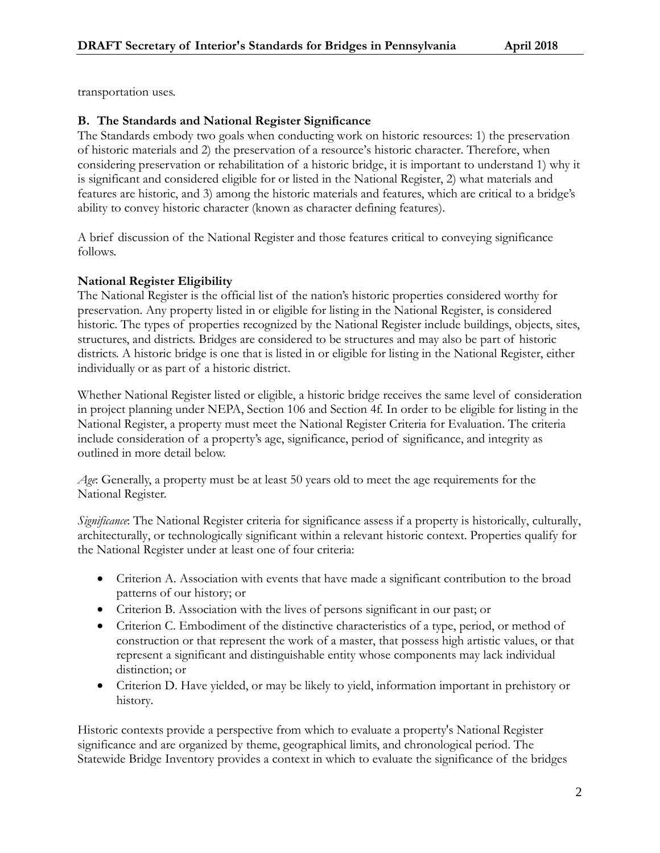transportation uses.

## **B. The Standards and National Register Significance**

The Standards embody two goals when conducting work on historic resources: 1) the preservation of historic materials and 2) the preservation of a resource's historic character. Therefore, when considering preservation or rehabilitation of a historic bridge, it is important to understand 1) why it is significant and considered eligible for or listed in the National Register, 2) what materials and features are historic, and 3) among the historic materials and features, which are critical to a bridge's ability to convey historic character (known as character defining features).

A brief discussion of the National Register and those features critical to conveying significance follows.

## **National Register Eligibility**

The National Register is the official list of the nation's historic properties considered worthy for preservation. Any property listed in or eligible for listing in the National Register, is considered historic. The types of properties recognized by the National Register include buildings, objects, sites, structures, and districts. Bridges are considered to be structures and may also be part of historic districts. A historic bridge is one that is listed in or eligible for listing in the National Register, either individually or as part of a historic district.

Whether National Register listed or eligible, a historic bridge receives the same level of consideration in project planning under NEPA, Section 106 and Section 4f. In order to be eligible for listing in the National Register, a property must meet the National Register Criteria for Evaluation. The criteria include consideration of a property's age, significance, period of significance, and integrity as outlined in more detail below.

*Age*: Generally, a property must be at least 50 years old to meet the age requirements for the National Register.

*Significance*: The National Register criteria for significance assess if a property is historically, culturally, architecturally, or technologically significant within a relevant historic context. Properties qualify for the National Register under at least one of four criteria:

- Criterion A. Association with events that have made a significant contribution to the broad patterns of our history; or
- Criterion B. Association with the lives of persons significant in our past; or
- Criterion C. Embodiment of the distinctive characteristics of a type, period, or method of construction or that represent the work of a master, that possess high artistic values, or that represent a significant and distinguishable entity whose components may lack individual distinction; or
- Criterion D. Have yielded, or may be likely to yield, information important in prehistory or history.

Historic contexts provide a perspective from which to evaluate a property's National Register significance and are organized by theme, geographical limits, and chronological period. The Statewide Bridge Inventory provides a context in which to evaluate the significance of the bridges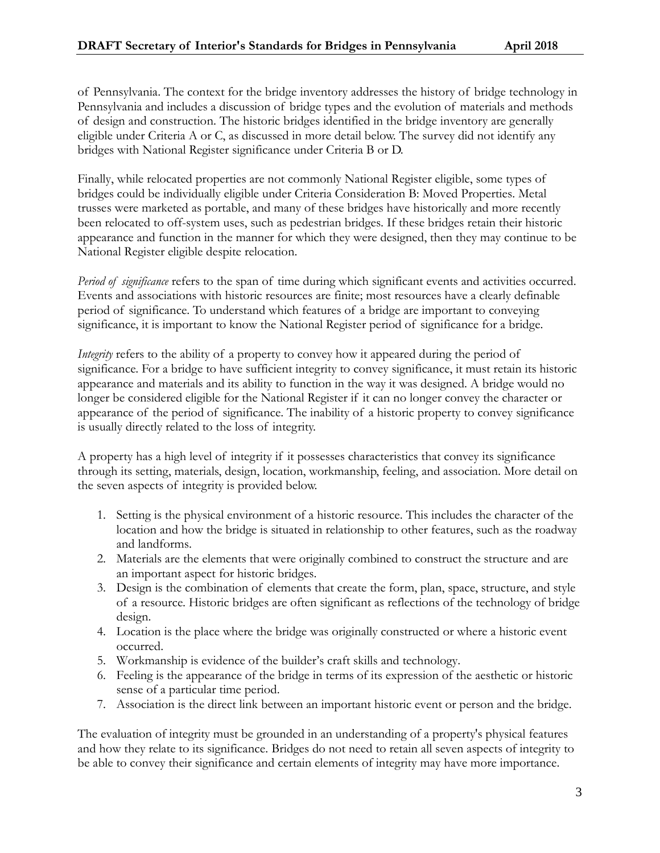of Pennsylvania. The context for the bridge inventory addresses the history of bridge technology in Pennsylvania and includes a discussion of bridge types and the evolution of materials and methods of design and construction. The historic bridges identified in the bridge inventory are generally eligible under Criteria A or C, as discussed in more detail below. The survey did not identify any bridges with National Register significance under Criteria B or D.

Finally, while relocated properties are not commonly National Register eligible, some types of bridges could be individually eligible under Criteria Consideration B: Moved Properties. Metal trusses were marketed as portable, and many of these bridges have historically and more recently been relocated to off-system uses, such as pedestrian bridges. If these bridges retain their historic appearance and function in the manner for which they were designed, then they may continue to be National Register eligible despite relocation.

*Period of significance* refers to the span of time during which significant events and activities occurred. Events and associations with historic resources are finite; most resources have a clearly definable period of significance. To understand which features of a bridge are important to conveying significance, it is important to know the National Register period of significance for a bridge.

*Integrity* refers to the ability of a property to convey how it appeared during the period of significance. For a bridge to have sufficient integrity to convey significance, it must retain its historic appearance and materials and its ability to function in the way it was designed. A bridge would no longer be considered eligible for the National Register if it can no longer convey the character or appearance of the period of significance. The inability of a historic property to convey significance is usually directly related to the loss of integrity.

A property has a high level of integrity if it possesses characteristics that convey its significance through its setting, materials, design, location, workmanship, feeling, and association. More detail on the seven aspects of integrity is provided below.

- 1. Setting is the physical environment of a historic resource. This includes the character of the location and how the bridge is situated in relationship to other features, such as the roadway and landforms.
- 2. Materials are the elements that were originally combined to construct the structure and are an important aspect for historic bridges.
- 3. Design is the combination of elements that create the form, plan, space, structure, and style of a resource. Historic bridges are often significant as reflections of the technology of bridge design.
- 4. Location is the place where the bridge was originally constructed or where a historic event occurred.
- 5. Workmanship is evidence of the builder's craft skills and technology.
- 6. Feeling is the appearance of the bridge in terms of its expression of the aesthetic or historic sense of a particular time period.
- 7. Association is the direct link between an important historic event or person and the bridge.

The evaluation of integrity must be grounded in an understanding of a property's physical features and how they relate to its significance. Bridges do not need to retain all seven aspects of integrity to be able to convey their significance and certain elements of integrity may have more importance.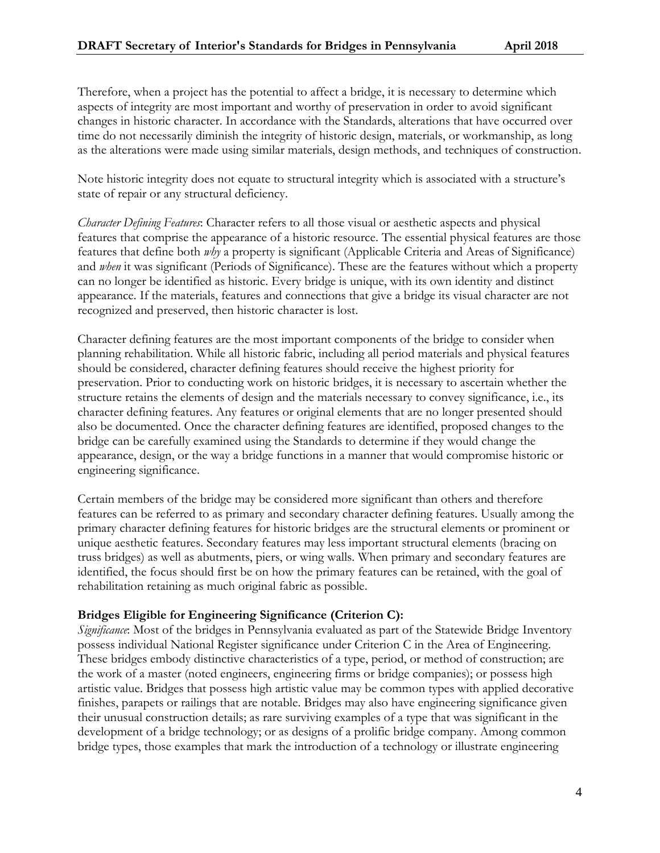Therefore, when a project has the potential to affect a bridge, it is necessary to determine which aspects of integrity are most important and worthy of preservation in order to avoid significant changes in historic character. In accordance with the Standards, alterations that have occurred over time do not necessarily diminish the integrity of historic design, materials, or workmanship, as long as the alterations were made using similar materials, design methods, and techniques of construction.

Note historic integrity does not equate to structural integrity which is associated with a structure's state of repair or any structural deficiency.

*Character Defining Features*: Character refers to all those visual or aesthetic aspects and physical features that comprise the appearance of a historic resource. The essential physical features are those features that define both *why* a property is significant (Applicable Criteria and Areas of Significance) and *when* it was significant (Periods of Significance). These are the features without which a property can no longer be identified as historic. Every bridge is unique, with its own identity and distinct appearance. If the materials, features and connections that give a bridge its visual character are not recognized and preserved, then historic character is lost.

Character defining features are the most important components of the bridge to consider when planning rehabilitation. While all historic fabric, including all period materials and physical features should be considered, character defining features should receive the highest priority for preservation. Prior to conducting work on historic bridges, it is necessary to ascertain whether the structure retains the elements of design and the materials necessary to convey significance, i.e., its character defining features. Any features or original elements that are no longer presented should also be documented. Once the character defining features are identified, proposed changes to the bridge can be carefully examined using the Standards to determine if they would change the appearance, design, or the way a bridge functions in a manner that would compromise historic or engineering significance.

Certain members of the bridge may be considered more significant than others and therefore features can be referred to as primary and secondary character defining features. Usually among the primary character defining features for historic bridges are the structural elements or prominent or unique aesthetic features. Secondary features may less important structural elements (bracing on truss bridges) as well as abutments, piers, or wing walls. When primary and secondary features are identified, the focus should first be on how the primary features can be retained, with the goal of rehabilitation retaining as much original fabric as possible.

## **Bridges Eligible for Engineering Significance (Criterion C):**

*Significance*: Most of the bridges in Pennsylvania evaluated as part of the Statewide Bridge Inventory possess individual National Register significance under Criterion C in the Area of Engineering. These bridges embody distinctive characteristics of a type, period, or method of construction; are the work of a master (noted engineers, engineering firms or bridge companies); or possess high artistic value. Bridges that possess high artistic value may be common types with applied decorative finishes, parapets or railings that are notable. Bridges may also have engineering significance given their unusual construction details; as rare surviving examples of a type that was significant in the development of a bridge technology; or as designs of a prolific bridge company. Among common bridge types, those examples that mark the introduction of a technology or illustrate engineering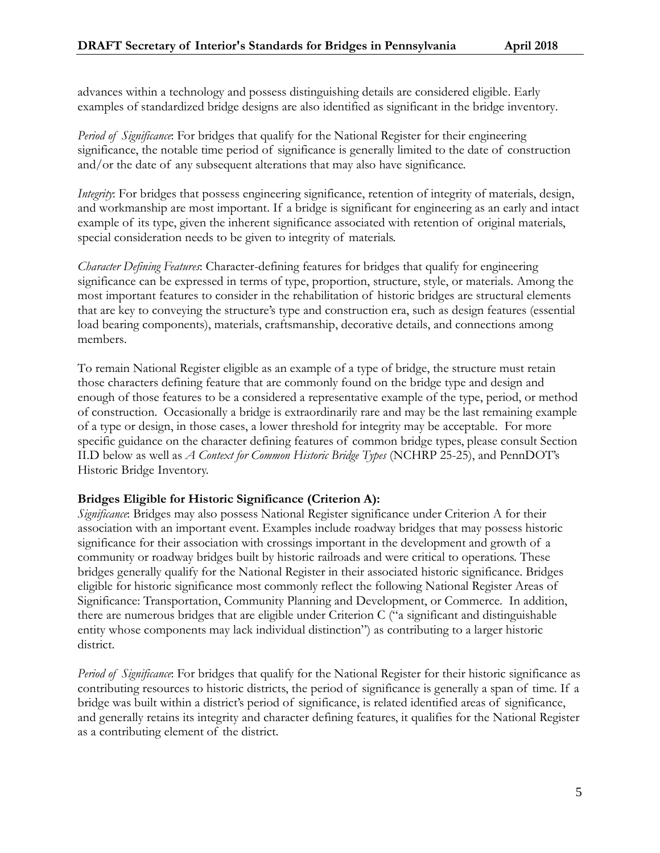advances within a technology and possess distinguishing details are considered eligible. Early examples of standardized bridge designs are also identified as significant in the bridge inventory.

*Period of Significance*: For bridges that qualify for the National Register for their engineering significance, the notable time period of significance is generally limited to the date of construction and/or the date of any subsequent alterations that may also have significance.

*Integrity*: For bridges that possess engineering significance, retention of integrity of materials, design, and workmanship are most important. If a bridge is significant for engineering as an early and intact example of its type, given the inherent significance associated with retention of original materials, special consideration needs to be given to integrity of materials.

*Character Defining Features*: Character-defining features for bridges that qualify for engineering significance can be expressed in terms of type, proportion, structure, style, or materials. Among the most important features to consider in the rehabilitation of historic bridges are structural elements that are key to conveying the structure's type and construction era, such as design features (essential load bearing components), materials, craftsmanship, decorative details, and connections among members.

To remain National Register eligible as an example of a type of bridge, the structure must retain those characters defining feature that are commonly found on the bridge type and design and enough of those features to be a considered a representative example of the type, period, or method of construction. Occasionally a bridge is extraordinarily rare and may be the last remaining example of a type or design, in those cases, a lower threshold for integrity may be acceptable. For more specific guidance on the character defining features of common bridge types, please consult Section II.D below as well as *A Context for Common Historic Bridge Types* (NCHRP 25-25), and PennDOT's Historic Bridge Inventory.

## **Bridges Eligible for Historic Significance (Criterion A):**

*Significance*: Bridges may also possess National Register significance under Criterion A for their association with an important event. Examples include roadway bridges that may possess historic significance for their association with crossings important in the development and growth of a community or roadway bridges built by historic railroads and were critical to operations. These bridges generally qualify for the National Register in their associated historic significance. Bridges eligible for historic significance most commonly reflect the following National Register Areas of Significance: Transportation, Community Planning and Development, or Commerce. In addition, there are numerous bridges that are eligible under Criterion C ("a significant and distinguishable entity whose components may lack individual distinction") as contributing to a larger historic district.

*Period of Significance*: For bridges that qualify for the National Register for their historic significance as contributing resources to historic districts, the period of significance is generally a span of time. If a bridge was built within a district's period of significance, is related identified areas of significance, and generally retains its integrity and character defining features, it qualifies for the National Register as a contributing element of the district.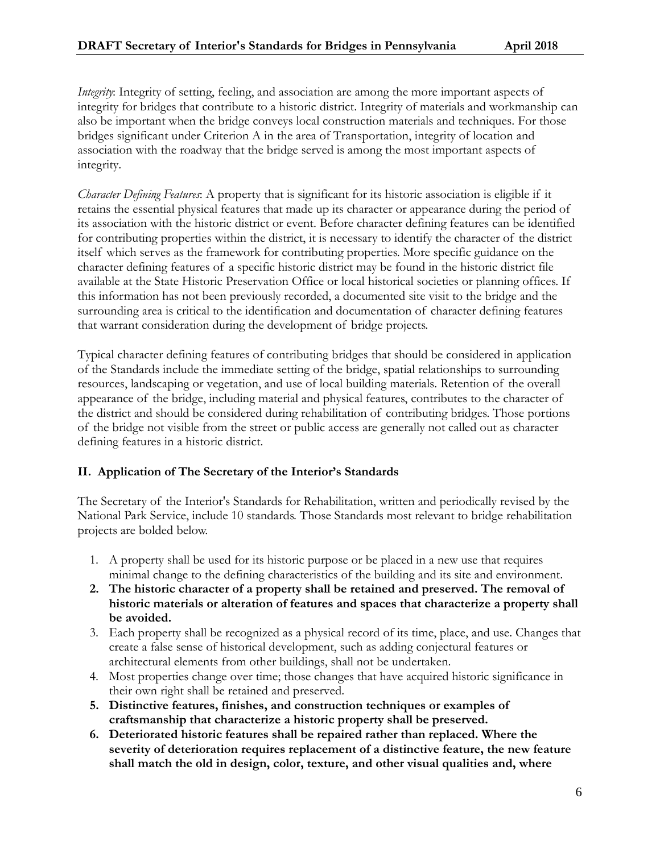*Integrity*: Integrity of setting, feeling, and association are among the more important aspects of integrity for bridges that contribute to a historic district. Integrity of materials and workmanship can also be important when the bridge conveys local construction materials and techniques. For those bridges significant under Criterion A in the area of Transportation, integrity of location and association with the roadway that the bridge served is among the most important aspects of integrity.

*Character Defining Features*: A property that is significant for its historic association is eligible if it retains the essential physical features that made up its character or appearance during the period of its association with the historic district or event. Before character defining features can be identified for contributing properties within the district, it is necessary to identify the character of the district itself which serves as the framework for contributing properties. More specific guidance on the character defining features of a specific historic district may be found in the historic district file available at the State Historic Preservation Office or local historical societies or planning offices. If this information has not been previously recorded, a documented site visit to the bridge and the surrounding area is critical to the identification and documentation of character defining features that warrant consideration during the development of bridge projects.

Typical character defining features of contributing bridges that should be considered in application of the Standards include the immediate setting of the bridge, spatial relationships to surrounding resources, landscaping or vegetation, and use of local building materials. Retention of the overall appearance of the bridge, including material and physical features, contributes to the character of the district and should be considered during rehabilitation of contributing bridges. Those portions of the bridge not visible from the street or public access are generally not called out as character defining features in a historic district.

## **II. Application of The Secretary of the Interior's Standards**

The Secretary of the Interior's Standards for Rehabilitation, written and periodically revised by the National Park Service, include 10 standards. Those Standards most relevant to bridge rehabilitation projects are bolded below.

- 1. A property shall be used for its historic purpose or be placed in a new use that requires minimal change to the defining characteristics of the building and its site and environment.
- **2. The historic character of a property shall be retained and preserved. The removal of historic materials or alteration of features and spaces that characterize a property shall be avoided.**
- 3. Each property shall be recognized as a physical record of its time, place, and use. Changes that create a false sense of historical development, such as adding conjectural features or architectural elements from other buildings, shall not be undertaken.
- 4. Most properties change over time; those changes that have acquired historic significance in their own right shall be retained and preserved.
- **5. Distinctive features, finishes, and construction techniques or examples of craftsmanship that characterize a historic property shall be preserved.**
- **6. Deteriorated historic features shall be repaired rather than replaced. Where the severity of deterioration requires replacement of a distinctive feature, the new feature shall match the old in design, color, texture, and other visual qualities and, where**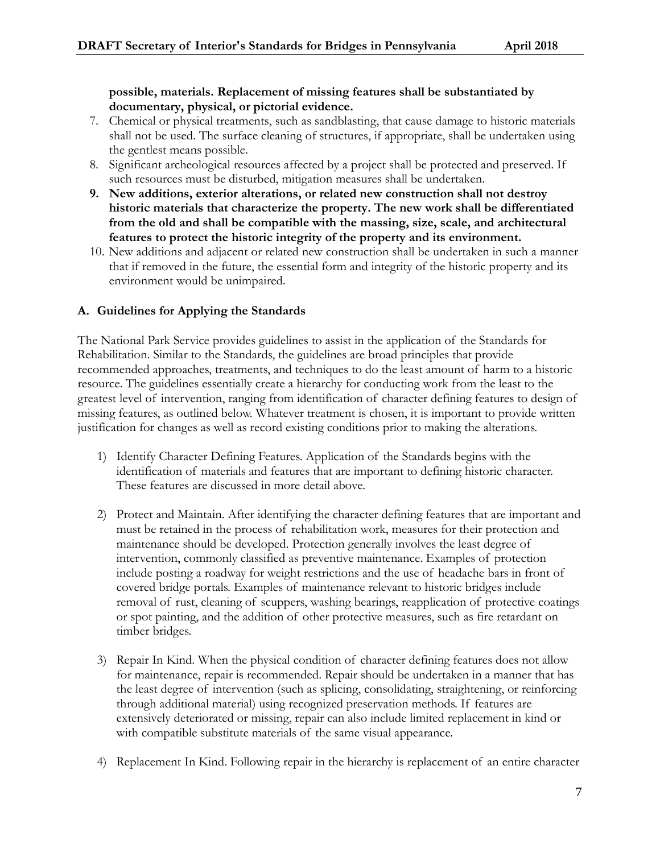## **possible, materials. Replacement of missing features shall be substantiated by documentary, physical, or pictorial evidence.**

- 7. Chemical or physical treatments, such as sandblasting, that cause damage to historic materials shall not be used. The surface cleaning of structures, if appropriate, shall be undertaken using the gentlest means possible.
- 8. Significant archeological resources affected by a project shall be protected and preserved. If such resources must be disturbed, mitigation measures shall be undertaken.
- **9. New additions, exterior alterations, or related new construction shall not destroy historic materials that characterize the property. The new work shall be differentiated from the old and shall be compatible with the massing, size, scale, and architectural features to protect the historic integrity of the property and its environment.**
- 10. New additions and adjacent or related new construction shall be undertaken in such a manner that if removed in the future, the essential form and integrity of the historic property and its environment would be unimpaired.

## **A. Guidelines for Applying the Standards**

The National Park Service provides guidelines to assist in the application of the Standards for Rehabilitation. Similar to the Standards, the guidelines are broad principles that provide recommended approaches, treatments, and techniques to do the least amount of harm to a historic resource. The guidelines essentially create a hierarchy for conducting work from the least to the greatest level of intervention, ranging from identification of character defining features to design of missing features, as outlined below. Whatever treatment is chosen, it is important to provide written justification for changes as well as record existing conditions prior to making the alterations.

- 1) Identify Character Defining Features. Application of the Standards begins with the identification of materials and features that are important to defining historic character. These features are discussed in more detail above.
- 2) Protect and Maintain. After identifying the character defining features that are important and must be retained in the process of rehabilitation work, measures for their protection and maintenance should be developed. Protection generally involves the least degree of intervention, commonly classified as preventive maintenance. Examples of protection include posting a roadway for weight restrictions and the use of headache bars in front of covered bridge portals. Examples of maintenance relevant to historic bridges include removal of rust, cleaning of scuppers, washing bearings, reapplication of protective coatings or spot painting, and the addition of other protective measures, such as fire retardant on timber bridges.
- 3) Repair In Kind. When the physical condition of character defining features does not allow for maintenance, repair is recommended. Repair should be undertaken in a manner that has the least degree of intervention (such as splicing, consolidating, straightening, or reinforcing through additional material) using recognized preservation methods. If features are extensively deteriorated or missing, repair can also include limited replacement in kind or with compatible substitute materials of the same visual appearance.
- 4) Replacement In Kind. Following repair in the hierarchy is replacement of an entire character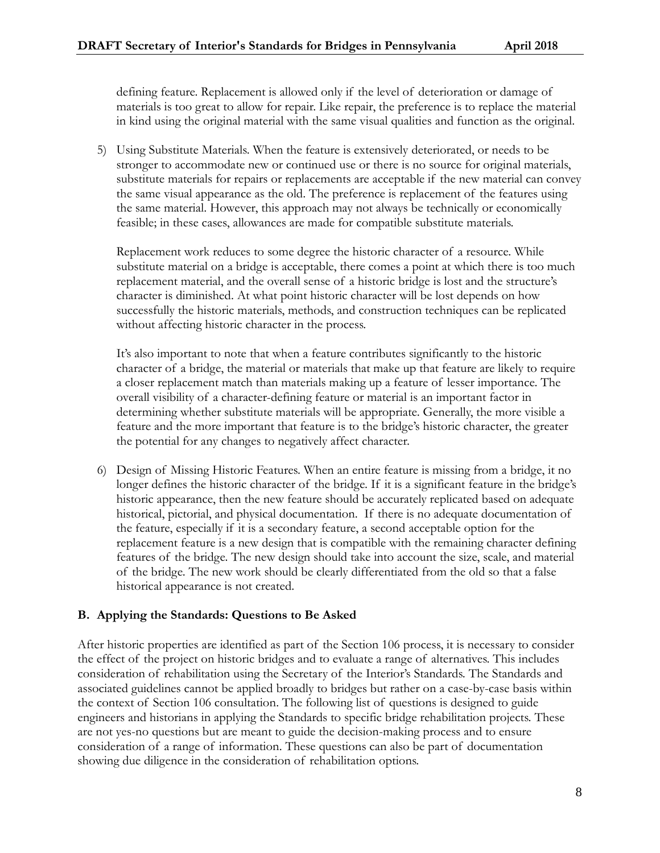defining feature. Replacement is allowed only if the level of deterioration or damage of materials is too great to allow for repair. Like repair, the preference is to replace the material in kind using the original material with the same visual qualities and function as the original.

5) Using Substitute Materials. When the feature is extensively deteriorated, or needs to be stronger to accommodate new or continued use or there is no source for original materials, substitute materials for repairs or replacements are acceptable if the new material can convey the same visual appearance as the old. The preference is replacement of the features using the same material. However, this approach may not always be technically or economically feasible; in these cases, allowances are made for compatible substitute materials.

Replacement work reduces to some degree the historic character of a resource. While substitute material on a bridge is acceptable, there comes a point at which there is too much replacement material, and the overall sense of a historic bridge is lost and the structure's character is diminished. At what point historic character will be lost depends on how successfully the historic materials, methods, and construction techniques can be replicated without affecting historic character in the process.

It's also important to note that when a feature contributes significantly to the historic character of a bridge, the material or materials that make up that feature are likely to require a closer replacement match than materials making up a feature of lesser importance. The overall visibility of a character-defining feature or material is an important factor in determining whether substitute materials will be appropriate. Generally, the more visible a feature and the more important that feature is to the bridge's historic character, the greater the potential for any changes to negatively affect character.

6) Design of Missing Historic Features. When an entire feature is missing from a bridge, it no longer defines the historic character of the bridge. If it is a significant feature in the bridge's historic appearance, then the new feature should be accurately replicated based on adequate historical, pictorial, and physical documentation. If there is no adequate documentation of the feature, especially if it is a secondary feature, a second acceptable option for the replacement feature is a new design that is compatible with the remaining character defining features of the bridge. The new design should take into account the size, scale, and material of the bridge. The new work should be clearly differentiated from the old so that a false historical appearance is not created.

## **B. Applying the Standards: Questions to Be Asked**

After historic properties are identified as part of the Section 106 process, it is necessary to consider the effect of the project on historic bridges and to evaluate a range of alternatives. This includes consideration of rehabilitation using the Secretary of the Interior's Standards. The Standards and associated guidelines cannot be applied broadly to bridges but rather on a case-by-case basis within the context of Section 106 consultation. The following list of questions is designed to guide engineers and historians in applying the Standards to specific bridge rehabilitation projects. These are not yes-no questions but are meant to guide the decision-making process and to ensure consideration of a range of information. These questions can also be part of documentation showing due diligence in the consideration of rehabilitation options.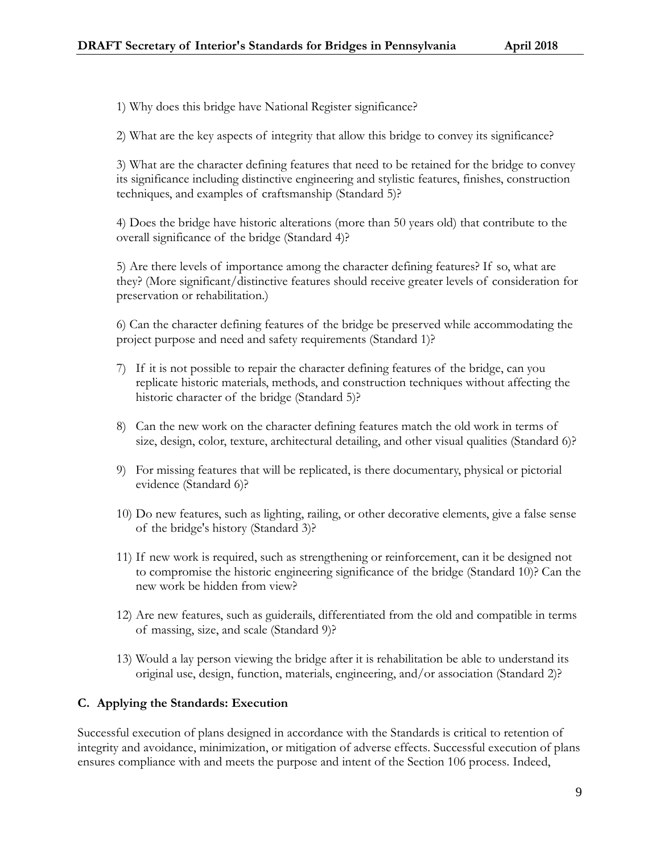1) Why does this bridge have National Register significance?

2) What are the key aspects of integrity that allow this bridge to convey its significance?

3) What are the character defining features that need to be retained for the bridge to convey its significance including distinctive engineering and stylistic features, finishes, construction techniques, and examples of craftsmanship (Standard 5)?

4) Does the bridge have historic alterations (more than 50 years old) that contribute to the overall significance of the bridge (Standard 4)?

5) Are there levels of importance among the character defining features? If so, what are they? (More significant/distinctive features should receive greater levels of consideration for preservation or rehabilitation.)

6) Can the character defining features of the bridge be preserved while accommodating the project purpose and need and safety requirements (Standard 1)?

- 7) If it is not possible to repair the character defining features of the bridge, can you replicate historic materials, methods, and construction techniques without affecting the historic character of the bridge (Standard 5)?
- 8) Can the new work on the character defining features match the old work in terms of size, design, color, texture, architectural detailing, and other visual qualities (Standard 6)?
- 9) For missing features that will be replicated, is there documentary, physical or pictorial evidence (Standard 6)?
- 10) Do new features, such as lighting, railing, or other decorative elements, give a false sense of the bridge's history (Standard 3)?
- 11) If new work is required, such as strengthening or reinforcement, can it be designed not to compromise the historic engineering significance of the bridge (Standard 10)? Can the new work be hidden from view?
- 12) Are new features, such as guiderails, differentiated from the old and compatible in terms of massing, size, and scale (Standard 9)?
- 13) Would a lay person viewing the bridge after it is rehabilitation be able to understand its original use, design, function, materials, engineering, and/or association (Standard 2)?

# **C. Applying the Standards: Execution**

Successful execution of plans designed in accordance with the Standards is critical to retention of integrity and avoidance, minimization, or mitigation of adverse effects. Successful execution of plans ensures compliance with and meets the purpose and intent of the Section 106 process. Indeed,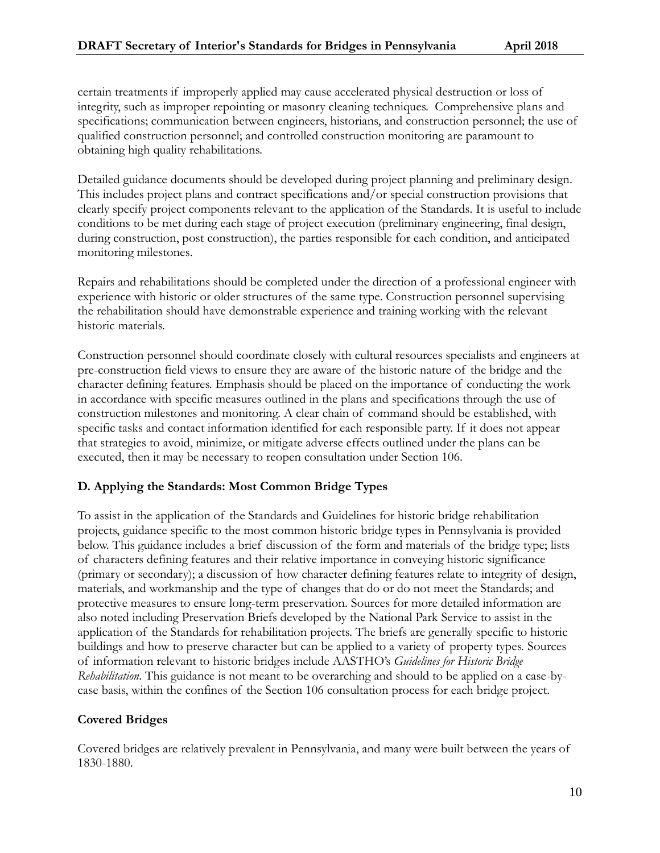certain treatments if improperly applied may cause accelerated physical destruction or loss of integrity, such as improper repointing or masonry cleaning techniques. Comprehensive plans and specifications; communication between engineers, historians, and construction personnel; the use of qualified construction personnel; and controlled construction monitoring are paramount to obtaining high quality rehabilitations.

Detailed guidance documents should be developed during project planning and preliminary design. This includes project plans and contract specifications and/or special construction provisions that clearly specify project components relevant to the application of the Standards. It is useful to include conditions to be met during each stage of project execution (preliminary engineering, final design, during construction, post construction), the parties responsible for each condition, and anticipated monitoring milestones.

Repairs and rehabilitations should be completed under the direction of a professional engineer with experience with historic or older structures of the same type. Construction personnel supervising the rehabilitation should have demonstrable experience and training working with the relevant historic materials.

Construction personnel should coordinate closely with cultural resources specialists and engineers at pre-construction field views to ensure they are aware of the historic nature of the bridge and the character defining features. Emphasis should be placed on the importance of conducting the work in accordance with specific measures outlined in the plans and specifications through the use of construction milestones and monitoring. A clear chain of command should be established, with specific tasks and contact information identified for each responsible party. If it does not appear that strategies to avoid, minimize, or mitigate adverse effects outlined under the plans can be executed, then it may be necessary to reopen consultation under Section 106.

## **D. Applying the Standards: Most Common Bridge Types**

To assist in the application of the Standards and Guidelines for historic bridge rehabilitation projects, guidance specific to the most common historic bridge types in Pennsylvania is provided below. This guidance includes a brief discussion of the form and materials of the bridge type; lists of characters defining features and their relative importance in conveying historic significance (primary or secondary); a discussion of how character defining features relate to integrity of design, materials, and workmanship and the type of changes that do or do not meet the Standards; and protective measures to ensure long-term preservation. Sources for more detailed information are also noted including Preservation Briefs developed by the National Park Service to assist in the application of the Standards for rehabilitation projects. The briefs are generally specific to historic buildings and how to preserve character but can be applied to a variety of property types. Sources of information relevant to historic bridges include AASTHO's *Guidelines for Historic Bridge Rehabilitation*. This guidance is not meant to be overarching and should to be applied on a case-bycase basis, within the confines of the Section 106 consultation process for each bridge project.

## **Covered Bridges**

Covered bridges are relatively prevalent in Pennsylvania, and many were built between the years of 1830-1880.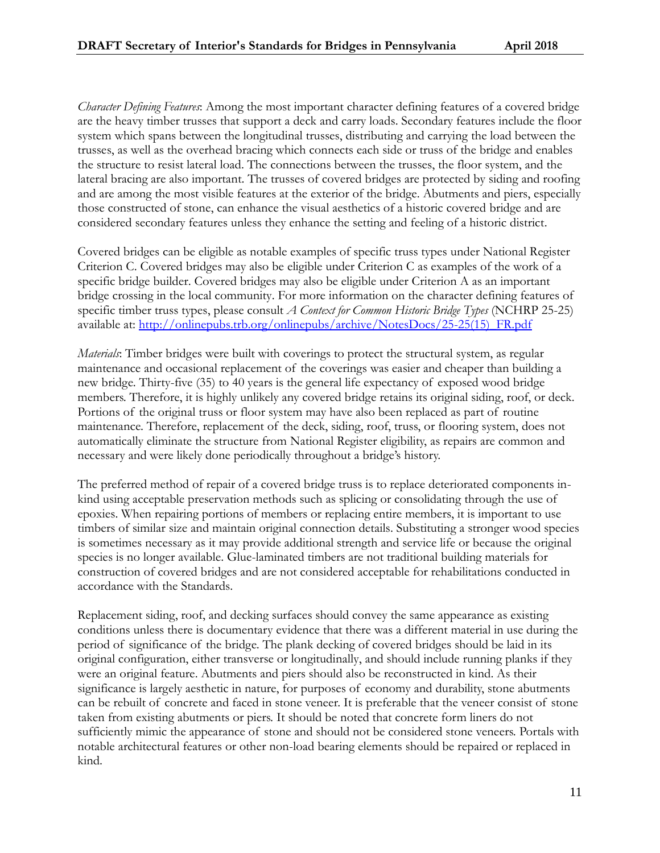*Character Defining Features*: Among the most important character defining features of a covered bridge are the heavy timber trusses that support a deck and carry loads. Secondary features include the floor system which spans between the longitudinal trusses, distributing and carrying the load between the trusses, as well as the overhead bracing which connects each side or truss of the bridge and enables the structure to resist lateral load. The connections between the trusses, the floor system, and the lateral bracing are also important. The trusses of covered bridges are protected by siding and roofing and are among the most visible features at the exterior of the bridge. Abutments and piers, especially those constructed of stone, can enhance the visual aesthetics of a historic covered bridge and are considered secondary features unless they enhance the setting and feeling of a historic district.

Covered bridges can be eligible as notable examples of specific truss types under National Register Criterion C. Covered bridges may also be eligible under Criterion C as examples of the work of a specific bridge builder. Covered bridges may also be eligible under Criterion A as an important bridge crossing in the local community. For more information on the character defining features of specific timber truss types, please consult *A Context for Common Historic Bridge Types* (NCHRP 25-25) available at: [http://onlinepubs.trb.org/onlinepubs/archive/NotesDocs/25-25\(15\)\\_FR.pdf](http://onlinepubs.trb.org/onlinepubs/archive/NotesDocs/25-25(15)_FR.pdf) 

*Materials*: Timber bridges were built with coverings to protect the structural system, as regular maintenance and occasional replacement of the coverings was easier and cheaper than building a new bridge. Thirty-five (35) to 40 years is the general life expectancy of exposed wood bridge members. Therefore, it is highly unlikely any covered bridge retains its original siding, roof, or deck. Portions of the original truss or floor system may have also been replaced as part of routine maintenance. Therefore, replacement of the deck, siding, roof, truss, or flooring system, does not automatically eliminate the structure from National Register eligibility, as repairs are common and necessary and were likely done periodically throughout a bridge's history.

The preferred method of repair of a covered bridge truss is to replace deteriorated components inkind using acceptable preservation methods such as splicing or consolidating through the use of epoxies. When repairing portions of members or replacing entire members, it is important to use timbers of similar size and maintain original connection details. Substituting a stronger wood species is sometimes necessary as it may provide additional strength and service life or because the original species is no longer available. Glue-laminated timbers are not traditional building materials for construction of covered bridges and are not considered acceptable for rehabilitations conducted in accordance with the Standards.

Replacement siding, roof, and decking surfaces should convey the same appearance as existing conditions unless there is documentary evidence that there was a different material in use during the period of significance of the bridge. The plank decking of covered bridges should be laid in its original configuration, either transverse or longitudinally, and should include running planks if they were an original feature. Abutments and piers should also be reconstructed in kind. As their significance is largely aesthetic in nature, for purposes of economy and durability, stone abutments can be rebuilt of concrete and faced in stone veneer. It is preferable that the veneer consist of stone taken from existing abutments or piers. It should be noted that concrete form liners do not sufficiently mimic the appearance of stone and should not be considered stone veneers. Portals with notable architectural features or other non-load bearing elements should be repaired or replaced in kind.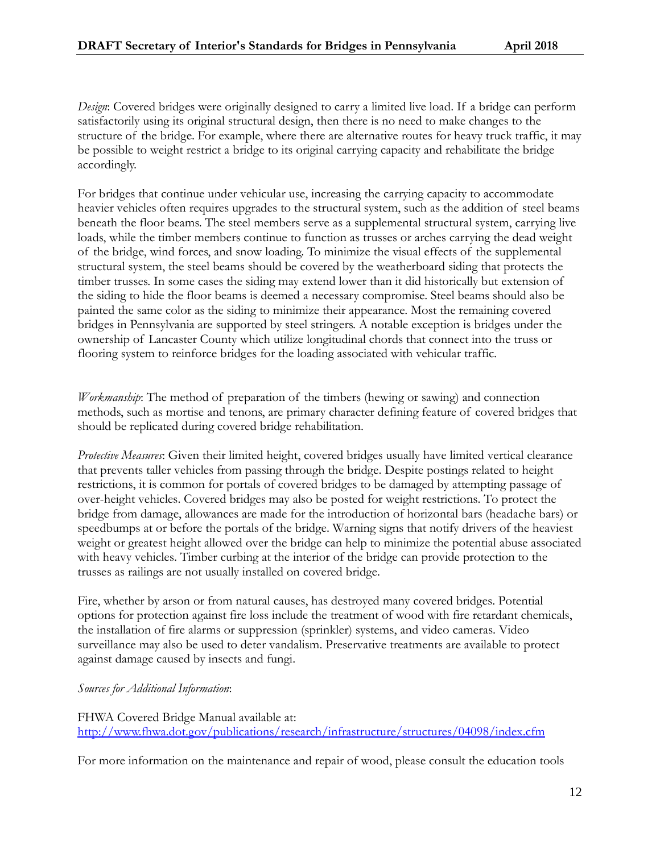*Design*: Covered bridges were originally designed to carry a limited live load. If a bridge can perform satisfactorily using its original structural design, then there is no need to make changes to the structure of the bridge. For example, where there are alternative routes for heavy truck traffic, it may be possible to weight restrict a bridge to its original carrying capacity and rehabilitate the bridge accordingly.

For bridges that continue under vehicular use, increasing the carrying capacity to accommodate heavier vehicles often requires upgrades to the structural system, such as the addition of steel beams beneath the floor beams. The steel members serve as a supplemental structural system, carrying live loads, while the timber members continue to function as trusses or arches carrying the dead weight of the bridge, wind forces, and snow loading. To minimize the visual effects of the supplemental structural system, the steel beams should be covered by the weatherboard siding that protects the timber trusses. In some cases the siding may extend lower than it did historically but extension of the siding to hide the floor beams is deemed a necessary compromise. Steel beams should also be painted the same color as the siding to minimize their appearance. Most the remaining covered bridges in Pennsylvania are supported by steel stringers. A notable exception is bridges under the ownership of Lancaster County which utilize longitudinal chords that connect into the truss or flooring system to reinforce bridges for the loading associated with vehicular traffic.

*Workmanship*: The method of preparation of the timbers (hewing or sawing) and connection methods, such as mortise and tenons, are primary character defining feature of covered bridges that should be replicated during covered bridge rehabilitation.

*Protective Measures*: Given their limited height, covered bridges usually have limited vertical clearance that prevents taller vehicles from passing through the bridge. Despite postings related to height restrictions, it is common for portals of covered bridges to be damaged by attempting passage of over-height vehicles. Covered bridges may also be posted for weight restrictions. To protect the bridge from damage, allowances are made for the introduction of horizontal bars (headache bars) or speedbumps at or before the portals of the bridge. Warning signs that notify drivers of the heaviest weight or greatest height allowed over the bridge can help to minimize the potential abuse associated with heavy vehicles. Timber curbing at the interior of the bridge can provide protection to the trusses as railings are not usually installed on covered bridge.

Fire, whether by arson or from natural causes, has destroyed many covered bridges. Potential options for protection against fire loss include the treatment of wood with fire retardant chemicals, the installation of fire alarms or suppression (sprinkler) systems, and video cameras. Video surveillance may also be used to deter vandalism. Preservative treatments are available to protect against damage caused by insects and fungi.

*Sources for Additional Information*:

FHWA Covered Bridge Manual available at: <http://www.fhwa.dot.gov/publications/research/infrastructure/structures/04098/index.cfm>

For more information on the maintenance and repair of wood, please consult the education tools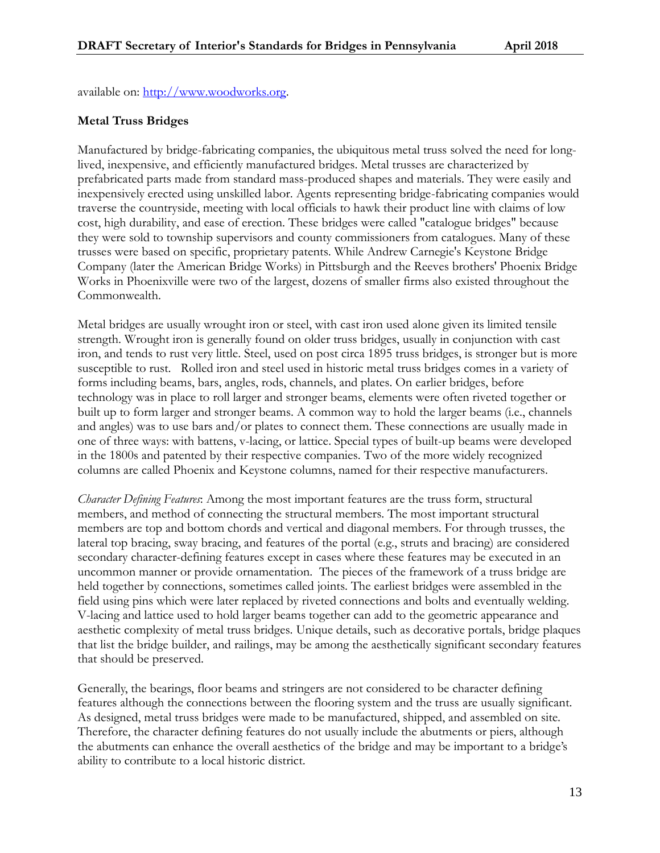available on: [http://www.woodworks.org.](http://www.woodworks.org/)

# **Metal Truss Bridges**

Manufactured by bridge-fabricating companies, the ubiquitous metal truss solved the need for longlived, inexpensive, and efficiently manufactured bridges. Metal trusses are characterized by prefabricated parts made from standard mass-produced shapes and materials. They were easily and inexpensively erected using unskilled labor. Agents representing bridge-fabricating companies would traverse the countryside, meeting with local officials to hawk their product line with claims of low cost, high durability, and ease of erection. These bridges were called "catalogue bridges" because they were sold to township supervisors and county commissioners from catalogues. Many of these trusses were based on specific, proprietary patents. While Andrew Carnegie's Keystone Bridge Company (later the American Bridge Works) in Pittsburgh and the Reeves brothers' Phoenix Bridge Works in Phoenixville were two of the largest, dozens of smaller firms also existed throughout the Commonwealth.

Metal bridges are usually wrought iron or steel, with cast iron used alone given its limited tensile strength. Wrought iron is generally found on older truss bridges, usually in conjunction with cast iron, and tends to rust very little. Steel, used on post circa 1895 truss bridges, is stronger but is more susceptible to rust. Rolled iron and steel used in historic metal truss bridges comes in a variety of forms including beams, bars, angles, rods, channels, and plates. On earlier bridges, before technology was in place to roll larger and stronger beams, elements were often riveted together or built up to form larger and stronger beams. A common way to hold the larger beams (i.e., channels and angles) was to use bars and/or plates to connect them. These connections are usually made in one of three ways: with battens, v-lacing, or lattice. Special types of built-up beams were developed in the 1800s and patented by their respective companies. Two of the more widely recognized columns are called Phoenix and Keystone columns, named for their respective manufacturers.

*Character Defining Features*: Among the most important features are the truss form, structural members, and method of connecting the structural members. The most important structural members are top and bottom chords and vertical and diagonal members. For through trusses, the lateral top bracing, sway bracing, and features of the portal (e.g., struts and bracing) are considered secondary character-defining features except in cases where these features may be executed in an uncommon manner or provide ornamentation. The pieces of the framework of a truss bridge are held together by connections, sometimes called joints. The earliest bridges were assembled in the field using pins which were later replaced by riveted connections and bolts and eventually welding. V-lacing and lattice used to hold larger beams together can add to the geometric appearance and aesthetic complexity of metal truss bridges. Unique details, such as decorative portals, bridge plaques that list the bridge builder, and railings, may be among the aesthetically significant secondary features that should be preserved.

Generally, the bearings, floor beams and stringers are not considered to be character defining features although the connections between the flooring system and the truss are usually significant. As designed, metal truss bridges were made to be manufactured, shipped, and assembled on site. Therefore, the character defining features do not usually include the abutments or piers, although the abutments can enhance the overall aesthetics of the bridge and may be important to a bridge's ability to contribute to a local historic district.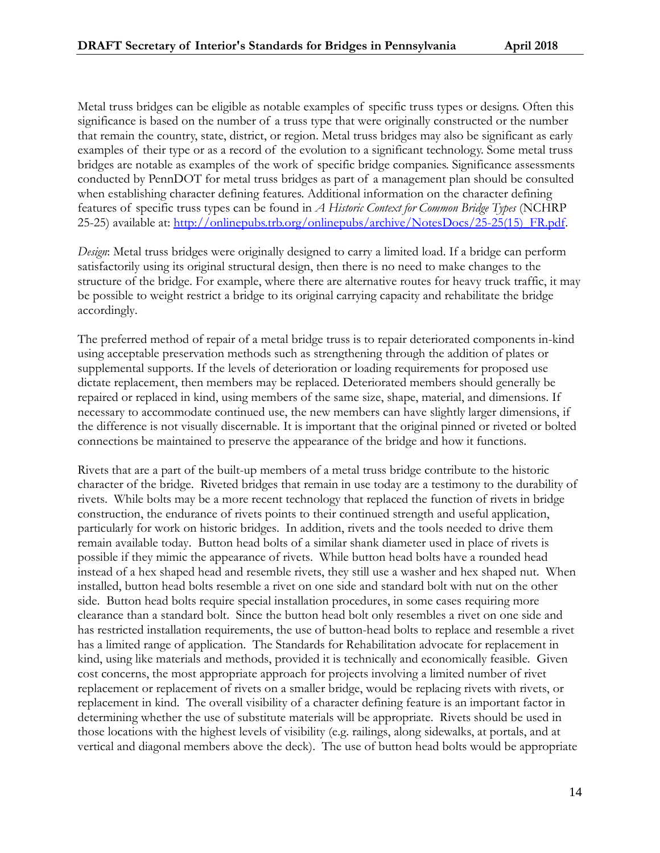Metal truss bridges can be eligible as notable examples of specific truss types or designs. Often this significance is based on the number of a truss type that were originally constructed or the number that remain the country, state, district, or region. Metal truss bridges may also be significant as early examples of their type or as a record of the evolution to a significant technology. Some metal truss bridges are notable as examples of the work of specific bridge companies. Significance assessments conducted by PennDOT for metal truss bridges as part of a management plan should be consulted when establishing character defining features. Additional information on the character defining features of specific truss types can be found in *A Historic Context for Common Bridge Types* (NCHRP 25-25) available at: [http://onlinepubs.trb.org/onlinepubs/archive/NotesDocs/25-25\(15\)\\_FR.pdf.](http://onlinepubs.trb.org/onlinepubs/archive/NotesDocs/25-25(15)_FR.pdf)

*Design*: Metal truss bridges were originally designed to carry a limited load. If a bridge can perform satisfactorily using its original structural design, then there is no need to make changes to the structure of the bridge. For example, where there are alternative routes for heavy truck traffic, it may be possible to weight restrict a bridge to its original carrying capacity and rehabilitate the bridge accordingly.

The preferred method of repair of a metal bridge truss is to repair deteriorated components in-kind using acceptable preservation methods such as strengthening through the addition of plates or supplemental supports. If the levels of deterioration or loading requirements for proposed use dictate replacement, then members may be replaced. Deteriorated members should generally be repaired or replaced in kind, using members of the same size, shape, material, and dimensions. If necessary to accommodate continued use, the new members can have slightly larger dimensions, if the difference is not visually discernable. It is important that the original pinned or riveted or bolted connections be maintained to preserve the appearance of the bridge and how it functions.

Rivets that are a part of the built-up members of a metal truss bridge contribute to the historic character of the bridge. Riveted bridges that remain in use today are a testimony to the durability of rivets. While bolts may be a more recent technology that replaced the function of rivets in bridge construction, the endurance of rivets points to their continued strength and useful application, particularly for work on historic bridges. In addition, rivets and the tools needed to drive them remain available today. Button head bolts of a similar shank diameter used in place of rivets is possible if they mimic the appearance of rivets. While button head bolts have a rounded head instead of a hex shaped head and resemble rivets, they still use a washer and hex shaped nut. When installed, button head bolts resemble a rivet on one side and standard bolt with nut on the other side. Button head bolts require special installation procedures, in some cases requiring more clearance than a standard bolt. Since the button head bolt only resembles a rivet on one side and has restricted installation requirements, the use of button-head bolts to replace and resemble a rivet has a limited range of application. The Standards for Rehabilitation advocate for replacement in kind, using like materials and methods, provided it is technically and economically feasible. Given cost concerns, the most appropriate approach for projects involving a limited number of rivet replacement or replacement of rivets on a smaller bridge, would be replacing rivets with rivets, or replacement in kind. The overall visibility of a character defining feature is an important factor in determining whether the use of substitute materials will be appropriate. Rivets should be used in those locations with the highest levels of visibility (e.g. railings, along sidewalks, at portals, and at vertical and diagonal members above the deck). The use of button head bolts would be appropriate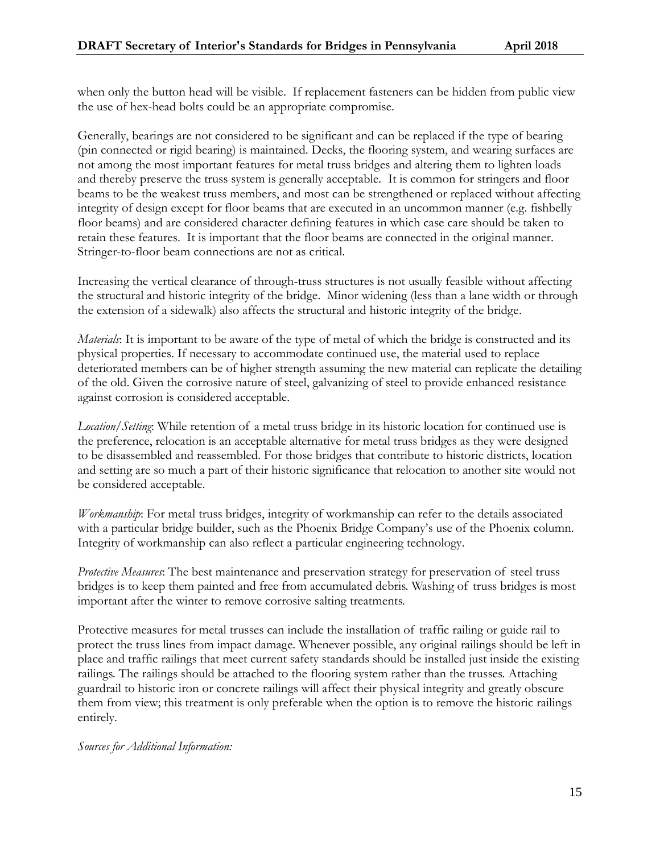when only the button head will be visible. If replacement fasteners can be hidden from public view the use of hex-head bolts could be an appropriate compromise.

Generally, bearings are not considered to be significant and can be replaced if the type of bearing (pin connected or rigid bearing) is maintained. Decks, the flooring system, and wearing surfaces are not among the most important features for metal truss bridges and altering them to lighten loads and thereby preserve the truss system is generally acceptable. It is common for stringers and floor beams to be the weakest truss members, and most can be strengthened or replaced without affecting integrity of design except for floor beams that are executed in an uncommon manner (e.g. fishbelly floor beams) and are considered character defining features in which case care should be taken to retain these features. It is important that the floor beams are connected in the original manner. Stringer-to-floor beam connections are not as critical.

Increasing the vertical clearance of through-truss structures is not usually feasible without affecting the structural and historic integrity of the bridge. Minor widening (less than a lane width or through the extension of a sidewalk) also affects the structural and historic integrity of the bridge.

*Materials*: It is important to be aware of the type of metal of which the bridge is constructed and its physical properties. If necessary to accommodate continued use, the material used to replace deteriorated members can be of higher strength assuming the new material can replicate the detailing of the old. Given the corrosive nature of steel, galvanizing of steel to provide enhanced resistance against corrosion is considered acceptable.

*Location/Setting*: While retention of a metal truss bridge in its historic location for continued use is the preference, relocation is an acceptable alternative for metal truss bridges as they were designed to be disassembled and reassembled. For those bridges that contribute to historic districts, location and setting are so much a part of their historic significance that relocation to another site would not be considered acceptable.

*Workmanship*: For metal truss bridges, integrity of workmanship can refer to the details associated with a particular bridge builder, such as the Phoenix Bridge Company's use of the Phoenix column. Integrity of workmanship can also reflect a particular engineering technology.

*Protective Measures*: The best maintenance and preservation strategy for preservation of steel truss bridges is to keep them painted and free from accumulated debris. Washing of truss bridges is most important after the winter to remove corrosive salting treatments.

Protective measures for metal trusses can include the installation of traffic railing or guide rail to protect the truss lines from impact damage. Whenever possible, any original railings should be left in place and traffic railings that meet current safety standards should be installed just inside the existing railings. The railings should be attached to the flooring system rather than the trusses. Attaching guardrail to historic iron or concrete railings will affect their physical integrity and greatly obscure them from view; this treatment is only preferable when the option is to remove the historic railings entirely.

*Sources for Additional Information:*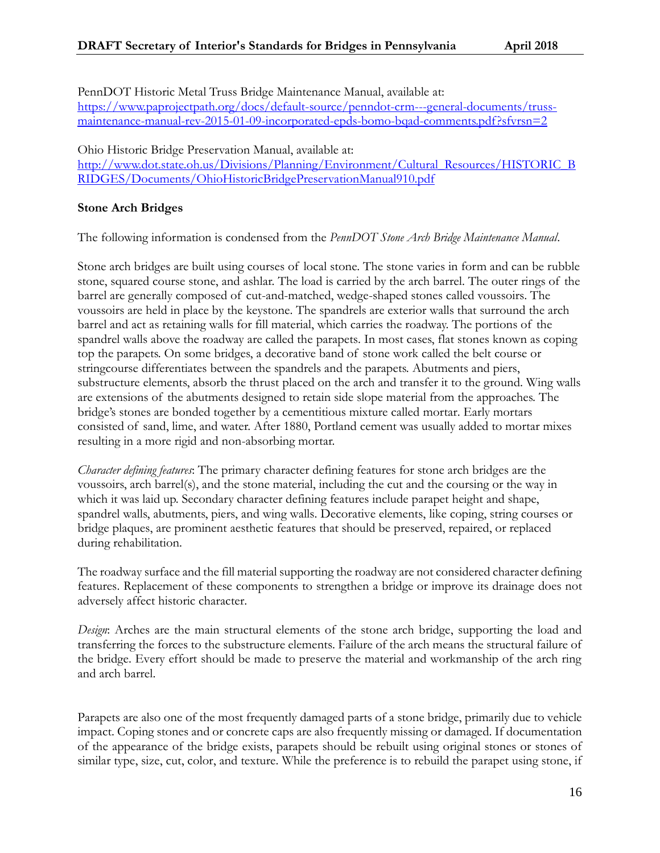PennDOT Historic Metal Truss Bridge Maintenance Manual, available at: [https://www.paprojectpath.org/docs/default-source/penndot-crm---general-documents/truss](https://www.paprojectpath.org/docs/default-source/penndot-crm---general-documents/truss-maintenance-manual-rev-2015-01-09-incorporated-epds-bomo-bqad-comments.pdf?sfvrsn=2)[maintenance-manual-rev-2015-01-09-incorporated-epds-bomo-bqad-comments.pdf?sfvrsn=2](https://www.paprojectpath.org/docs/default-source/penndot-crm---general-documents/truss-maintenance-manual-rev-2015-01-09-incorporated-epds-bomo-bqad-comments.pdf?sfvrsn=2)

Ohio Historic Bridge Preservation Manual, available at:

[http://www.dot.state.oh.us/Divisions/Planning/Environment/Cultural\\_Resources/HISTORIC\\_B](http://www.dot.state.oh.us/Divisions/Planning/Environment/Cultural_Resources/HISTORIC_BRIDGES/Documents/OhioHistoricBridgePreservationManual910.pdf) [RIDGES/Documents/OhioHistoricBridgePreservationManual910.pdf](http://www.dot.state.oh.us/Divisions/Planning/Environment/Cultural_Resources/HISTORIC_BRIDGES/Documents/OhioHistoricBridgePreservationManual910.pdf)

#### **Stone Arch Bridges**

The following information is condensed from the *PennDOT Stone Arch Bridge Maintenance Manual*.

Stone arch bridges are built using courses of local stone. The stone varies in form and can be rubble stone, squared course stone, and ashlar. The load is carried by the arch barrel. The outer rings of the barrel are generally composed of cut-and-matched, wedge-shaped stones called voussoirs. The voussoirs are held in place by the keystone. The spandrels are exterior walls that surround the arch barrel and act as retaining walls for fill material, which carries the roadway. The portions of the spandrel walls above the roadway are called the parapets. In most cases, flat stones known as coping top the parapets. On some bridges, a decorative band of stone work called the belt course or stringcourse differentiates between the spandrels and the parapets. Abutments and piers, substructure elements, absorb the thrust placed on the arch and transfer it to the ground. Wing walls are extensions of the abutments designed to retain side slope material from the approaches. The bridge's stones are bonded together by a cementitious mixture called mortar. Early mortars consisted of sand, lime, and water. After 1880, Portland cement was usually added to mortar mixes resulting in a more rigid and non-absorbing mortar.

*Character defining features*: The primary character defining features for stone arch bridges are the voussoirs, arch barrel(s), and the stone material, including the cut and the coursing or the way in which it was laid up. Secondary character defining features include parapet height and shape, spandrel walls, abutments, piers, and wing walls. Decorative elements, like coping, string courses or bridge plaques, are prominent aesthetic features that should be preserved, repaired, or replaced during rehabilitation.

The roadway surface and the fill material supporting the roadway are not considered character defining features. Replacement of these components to strengthen a bridge or improve its drainage does not adversely affect historic character.

*Design*: Arches are the main structural elements of the stone arch bridge, supporting the load and transferring the forces to the substructure elements. Failure of the arch means the structural failure of the bridge. Every effort should be made to preserve the material and workmanship of the arch ring and arch barrel.

Parapets are also one of the most frequently damaged parts of a stone bridge, primarily due to vehicle impact. Coping stones and or concrete caps are also frequently missing or damaged. If documentation of the appearance of the bridge exists, parapets should be rebuilt using original stones or stones of similar type, size, cut, color, and texture. While the preference is to rebuild the parapet using stone, if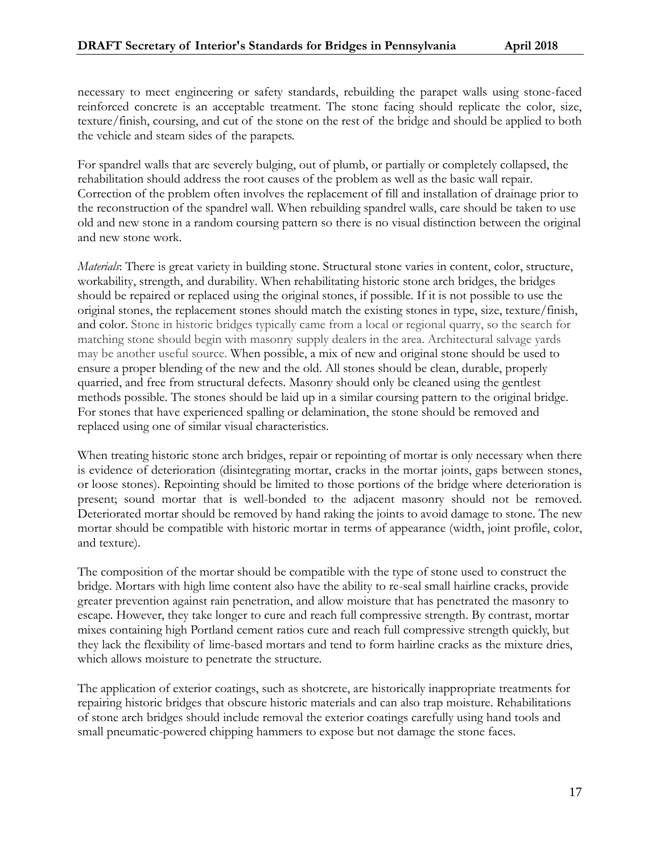necessary to meet engineering or safety standards, rebuilding the parapet walls using stone-faced reinforced concrete is an acceptable treatment. The stone facing should replicate the color, size, texture/finish, coursing, and cut of the stone on the rest of the bridge and should be applied to both the vehicle and steam sides of the parapets.

For spandrel walls that are severely bulging, out of plumb, or partially or completely collapsed, the rehabilitation should address the root causes of the problem as well as the basic wall repair. Correction of the problem often involves the replacement of fill and installation of drainage prior to the reconstruction of the spandrel wall. When rebuilding spandrel walls, care should be taken to use old and new stone in a random coursing pattern so there is no visual distinction between the original and new stone work.

*Materials*: There is great variety in building stone. Structural stone varies in content, color, structure, workability, strength, and durability. When rehabilitating historic stone arch bridges, the bridges should be repaired or replaced using the original stones, if possible. If it is not possible to use the original stones, the replacement stones should match the existing stones in type, size, texture/finish, and color. Stone in historic bridges typically came from a local or regional quarry, so the search for matching stone should begin with masonry supply dealers in the area. Architectural salvage yards may be another useful source. When possible, a mix of new and original stone should be used to ensure a proper blending of the new and the old. All stones should be clean, durable, properly quarried, and free from structural defects. Masonry should only be cleaned using the gentlest methods possible. The stones should be laid up in a similar coursing pattern to the original bridge. For stones that have experienced spalling or delamination, the stone should be removed and replaced using one of similar visual characteristics.

When treating historic stone arch bridges, repair or repointing of mortar is only necessary when there is evidence of deterioration (disintegrating mortar, cracks in the mortar joints, gaps between stones, or loose stones). Repointing should be limited to those portions of the bridge where deterioration is present; sound mortar that is well-bonded to the adjacent masonry should not be removed. Deteriorated mortar should be removed by hand raking the joints to avoid damage to stone. The new mortar should be compatible with historic mortar in terms of appearance (width, joint profile, color, and texture).

The composition of the mortar should be compatible with the type of stone used to construct the bridge. Mortars with high lime content also have the ability to re-seal small hairline cracks, provide greater prevention against rain penetration, and allow moisture that has penetrated the masonry to escape. However, they take longer to cure and reach full compressive strength. By contrast, mortar mixes containing high Portland cement ratios cure and reach full compressive strength quickly, but they lack the flexibility of lime-based mortars and tend to form hairline cracks as the mixture dries, which allows moisture to penetrate the structure.

The application of exterior coatings, such as shotcrete, are historically inappropriate treatments for repairing historic bridges that obscure historic materials and can also trap moisture. Rehabilitations of stone arch bridges should include removal the exterior coatings carefully using hand tools and small pneumatic-powered chipping hammers to expose but not damage the stone faces.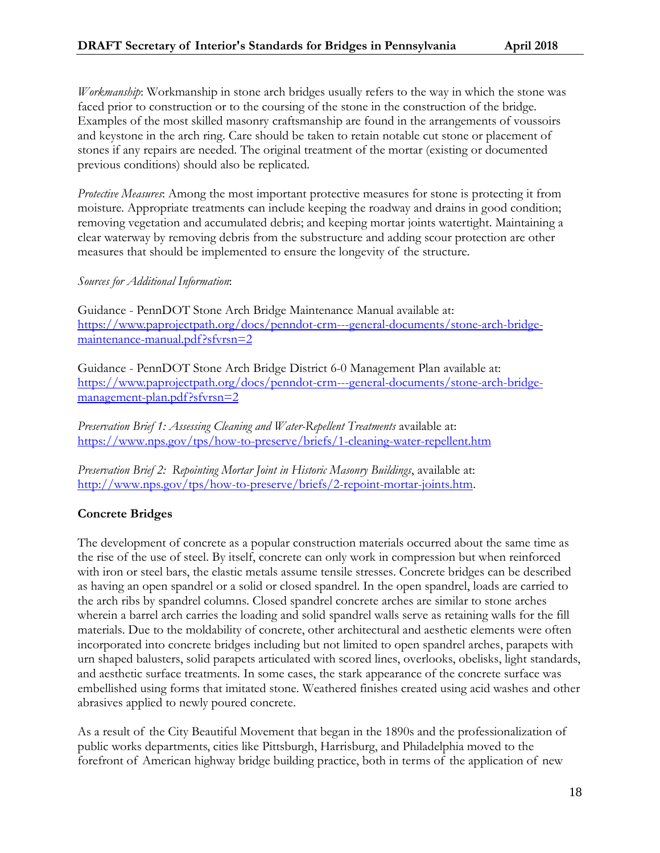*Workmanship*: Workmanship in stone arch bridges usually refers to the way in which the stone was faced prior to construction or to the coursing of the stone in the construction of the bridge. Examples of the most skilled masonry craftsmanship are found in the arrangements of voussoirs and keystone in the arch ring. Care should be taken to retain notable cut stone or placement of stones if any repairs are needed. The original treatment of the mortar (existing or documented previous conditions) should also be replicated.

*Protective Measures*: Among the most important protective measures for stone is protecting it from moisture. Appropriate treatments can include keeping the roadway and drains in good condition; removing vegetation and accumulated debris; and keeping mortar joints watertight. Maintaining a clear waterway by removing debris from the substructure and adding scour protection are other measures that should be implemented to ensure the longevity of the structure.

#### *Sources for Additional Information*:

Guidance - PennDOT Stone Arch Bridge Maintenance Manual available at: [https://www.paprojectpath.org/docs/penndot-crm---general-documents/stone-arch-bridge](https://www.paprojectpath.org/docs/penndot-crm---general-documents/stone-arch-bridge-maintenance-manual.pdf?sfvrsn=2)[maintenance-manual.pdf?sfvrsn=2](https://www.paprojectpath.org/docs/penndot-crm---general-documents/stone-arch-bridge-maintenance-manual.pdf?sfvrsn=2) 

Guidance - PennDOT Stone Arch Bridge District 6-0 Management Plan available at: [https://www.paprojectpath.org/docs/penndot-crm---general-documents/stone-arch-bridge](https://www.paprojectpath.org/docs/penndot-crm---general-documents/stone-arch-bridge-management-plan.pdf?sfvrsn=2)[management-plan.pdf?sfvrsn=2](https://www.paprojectpath.org/docs/penndot-crm---general-documents/stone-arch-bridge-management-plan.pdf?sfvrsn=2) 

*Preservation Brief 1: Assessing Cleaning and Water-Repellent Treatments* available at: <https://www.nps.gov/tps/how-to-preserve/briefs/1-cleaning-water-repellent.htm>

*Preservation Brief 2: Repointing Mortar Joint in Historic Masonry Buildings*, available at: [http://www.nps.gov/tps/how-to-preserve/briefs/2-repoint-mortar-joints.htm.](http://www.nps.gov/tps/how-to-preserve/briefs/2-repoint-mortar-joints.htm)

## **Concrete Bridges**

The development of concrete as a popular construction materials occurred about the same time as the rise of the use of steel. By itself, concrete can only work in compression but when reinforced with iron or steel bars, the elastic metals assume tensile stresses. Concrete bridges can be described as having an open spandrel or a solid or closed spandrel. In the open spandrel, loads are carried to the arch ribs by spandrel columns. Closed spandrel concrete arches are similar to stone arches wherein a barrel arch carries the loading and solid spandrel walls serve as retaining walls for the fill materials. Due to the moldability of concrete, other architectural and aesthetic elements were often incorporated into concrete bridges including but not limited to open spandrel arches, parapets with urn shaped balusters, solid parapets articulated with scored lines, overlooks, obelisks, light standards, and aesthetic surface treatments. In some cases, the stark appearance of the concrete surface was embellished using forms that imitated stone. Weathered finishes created using acid washes and other abrasives applied to newly poured concrete.

As a result of the City Beautiful Movement that began in the 1890s and the professionalization of public works departments, cities like Pittsburgh, Harrisburg, and Philadelphia moved to the forefront of American highway bridge building practice, both in terms of the application of new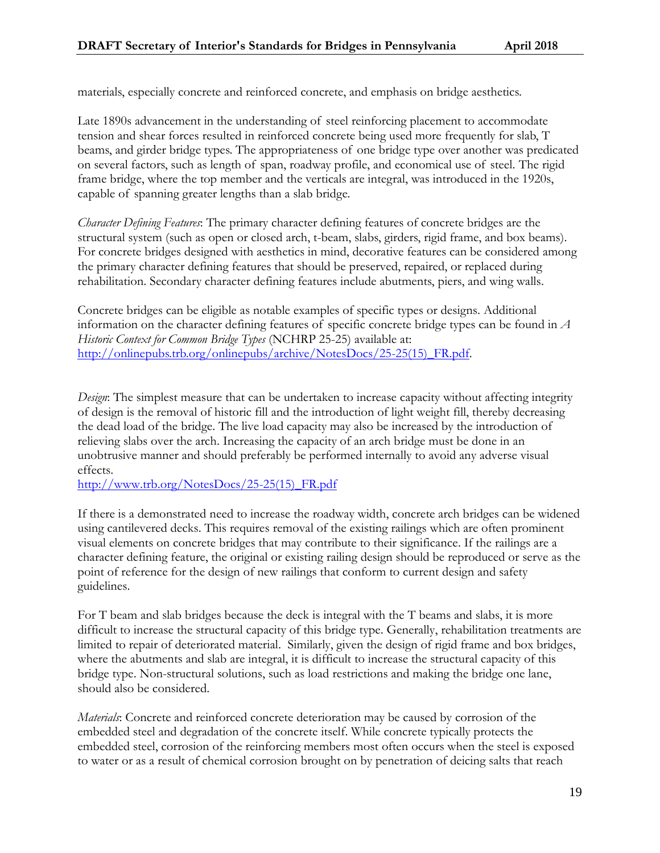materials, especially concrete and reinforced concrete, and emphasis on bridge aesthetics.

Late 1890s advancement in the understanding of steel reinforcing placement to accommodate tension and shear forces resulted in reinforced concrete being used more frequently for slab, T beams, and girder bridge types. The appropriateness of one bridge type over another was predicated on several factors, such as length of span, roadway profile, and economical use of steel. The rigid frame bridge, where the top member and the verticals are integral, was introduced in the 1920s, capable of spanning greater lengths than a slab bridge.

*Character Defining Features*: The primary character defining features of concrete bridges are the structural system (such as open or closed arch, t-beam, slabs, girders, rigid frame, and box beams). For concrete bridges designed with aesthetics in mind, decorative features can be considered among the primary character defining features that should be preserved, repaired, or replaced during rehabilitation. Secondary character defining features include abutments, piers, and wing walls.

Concrete bridges can be eligible as notable examples of specific types or designs. Additional information on the character defining features of specific concrete bridge types can be found in *A Historic Context for Common Bridge Types* (NCHRP 25-25) available at: [http://onlinepubs.trb.org/onlinepubs/archive/NotesDocs/25-25\(15\)\\_FR.pdf.](http://onlinepubs.trb.org/onlinepubs/archive/NotesDocs/25-25(15)_FR.pdf)

*Design*: The simplest measure that can be undertaken to increase capacity without affecting integrity of design is the removal of historic fill and the introduction of light weight fill, thereby decreasing the dead load of the bridge. The live load capacity may also be increased by the introduction of relieving slabs over the arch. Increasing the capacity of an arch bridge must be done in an unobtrusive manner and should preferably be performed internally to avoid any adverse visual effects.

[http://www.trb.org/NotesDocs/25-25\(15\)\\_FR.pdf](http://www.trb.org/NotesDocs/25-25(15)_FR.pdf) 

If there is a demonstrated need to increase the roadway width, concrete arch bridges can be widened using cantilevered decks. This requires removal of the existing railings which are often prominent visual elements on concrete bridges that may contribute to their significance. If the railings are a character defining feature, the original or existing railing design should be reproduced or serve as the point of reference for the design of new railings that conform to current design and safety guidelines.

For T beam and slab bridges because the deck is integral with the T beams and slabs, it is more difficult to increase the structural capacity of this bridge type. Generally, rehabilitation treatments are limited to repair of deteriorated material. Similarly, given the design of rigid frame and box bridges, where the abutments and slab are integral, it is difficult to increase the structural capacity of this bridge type. Non-structural solutions, such as load restrictions and making the bridge one lane, should also be considered.

*Materials*: Concrete and reinforced concrete deterioration may be caused by corrosion of the embedded steel and degradation of the concrete itself. While concrete typically protects the embedded steel, corrosion of the reinforcing members most often occurs when the steel is exposed to water or as a result of chemical corrosion brought on by penetration of deicing salts that reach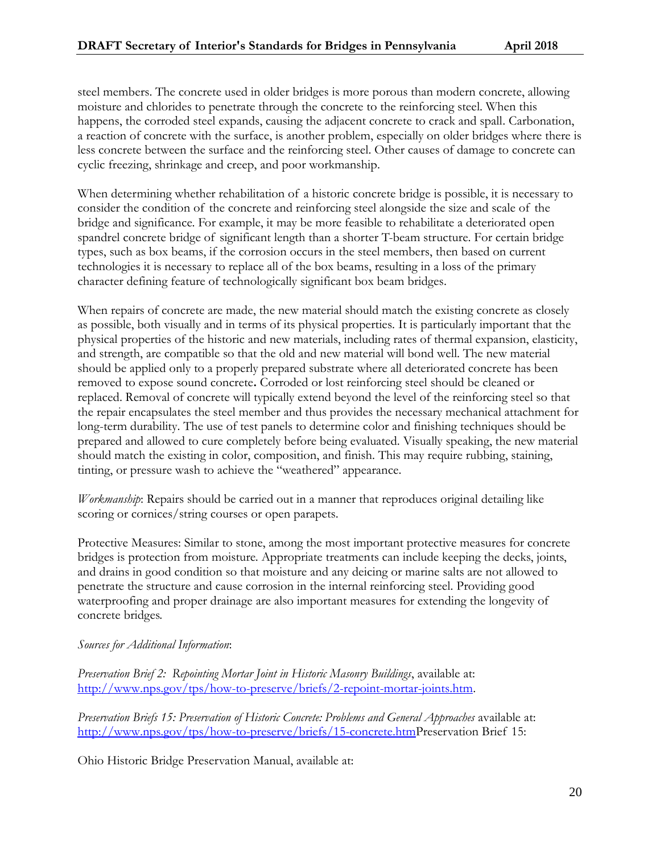steel members. The concrete used in older bridges is more porous than modern concrete, allowing moisture and chlorides to penetrate through the concrete to the reinforcing steel. When this happens, the corroded steel expands, causing the adjacent concrete to crack and spall. Carbonation, a reaction of concrete with the surface, is another problem, especially on older bridges where there is less concrete between the surface and the reinforcing steel. Other causes of damage to concrete can cyclic freezing, shrinkage and creep, and poor workmanship.

When determining whether rehabilitation of a historic concrete bridge is possible, it is necessary to consider the condition of the concrete and reinforcing steel alongside the size and scale of the bridge and significance. For example, it may be more feasible to rehabilitate a deteriorated open spandrel concrete bridge of significant length than a shorter T-beam structure. For certain bridge types, such as box beams, if the corrosion occurs in the steel members, then based on current technologies it is necessary to replace all of the box beams, resulting in a loss of the primary character defining feature of technologically significant box beam bridges.

When repairs of concrete are made, the new material should match the existing concrete as closely as possible, both visually and in terms of its physical properties. It is particularly important that the physical properties of the historic and new materials, including rates of thermal expansion, elasticity, and strength, are compatible so that the old and new material will bond well. The new material should be applied only to a properly prepared substrate where all deteriorated concrete has been removed to expose sound concrete**.** Corroded or lost reinforcing steel should be cleaned or replaced. Removal of concrete will typically extend beyond the level of the reinforcing steel so that the repair encapsulates the steel member and thus provides the necessary mechanical attachment for long-term durability. The use of test panels to determine color and finishing techniques should be prepared and allowed to cure completely before being evaluated. Visually speaking, the new material should match the existing in color, composition, and finish. This may require rubbing, staining, tinting, or pressure wash to achieve the "weathered" appearance.

*Workmanship*: Repairs should be carried out in a manner that reproduces original detailing like scoring or cornices/string courses or open parapets.

Protective Measures: Similar to stone, among the most important protective measures for concrete bridges is protection from moisture. Appropriate treatments can include keeping the decks, joints, and drains in good condition so that moisture and any deicing or marine salts are not allowed to penetrate the structure and cause corrosion in the internal reinforcing steel. Providing good waterproofing and proper drainage are also important measures for extending the longevity of concrete bridges.

#### *Sources for Additional Information*:

*Preservation Brief 2: Repointing Mortar Joint in Historic Masonry Buildings*, available at: [http://www.nps.gov/tps/how-to-preserve/briefs/2-repoint-mortar-joints.htm.](http://www.nps.gov/tps/how-to-preserve/briefs/2-repoint-mortar-joints.htm)

*Preservation Briefs 15: Preservation of Historic Concrete: Problems and General Approaches available at:* [http://www.nps.gov/tps/how-to-preserve/briefs/15-concrete.htmP](http://www.nps.gov/tps/how-to-preserve/briefs/15-concrete.htm)reservation Brief 15:

Ohio Historic Bridge Preservation Manual, available at: